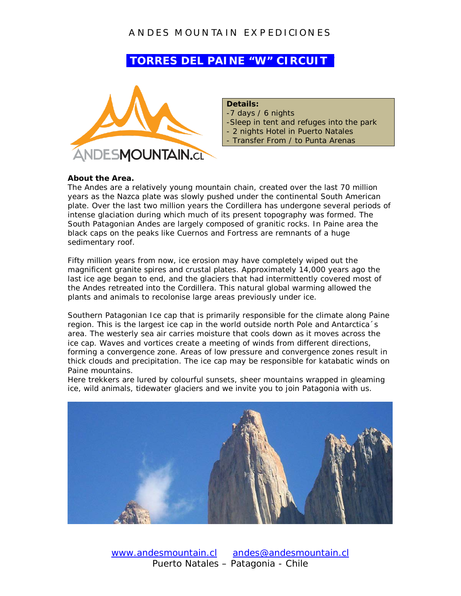# **TORRES DEL PAINE "W" CIRCUIT**



### **Details:**

-7 days / 6 nights -Sleep in tent and refuges into the park - 2 nights Hotel in Puerto Natales - Transfer From / to Punta Arenas

#### **About the Area.**

The Andes are a relatively young mountain chain, created over the last 70 million years as the Nazca plate was slowly pushed under the continental South American plate. Over the last two million years the Cordillera has undergone several periods of intense glaciation during which much of its present topography was formed. The South Patagonian Andes are largely composed of granitic rocks. In Paine area the black caps on the peaks like Cuernos and Fortress are remnants of a huge sedimentary roof.

Fifty million years from now, ice erosion may have completely wiped out the magnificent granite spires and crustal plates. Approximately 14,000 years ago the last ice age began to end, and the glaciers that had intermittently covered most of the Andes retreated into the Cordillera. This natural global warming allowed the plants and animals to recolonise large areas previously under ice.

Southern Patagonian Ice cap that is primarily responsible for the climate along Paine region. This is the largest ice cap in the world outside north Pole and Antarctica´s area. The westerly sea air carries moisture that cools down as it moves across the ice cap. Waves and vortices create a meeting of winds from different directions, forming a convergence zone. Areas of low pressure and convergence zones result in thick clouds and precipitation. The ice cap may be responsible for katabatic winds on Paine mountains.

Here trekkers are lured by colourful sunsets, sheer mountains wrapped in gleaming ice, wild animals, tidewater glaciers and we invite you to join Patagonia with us.

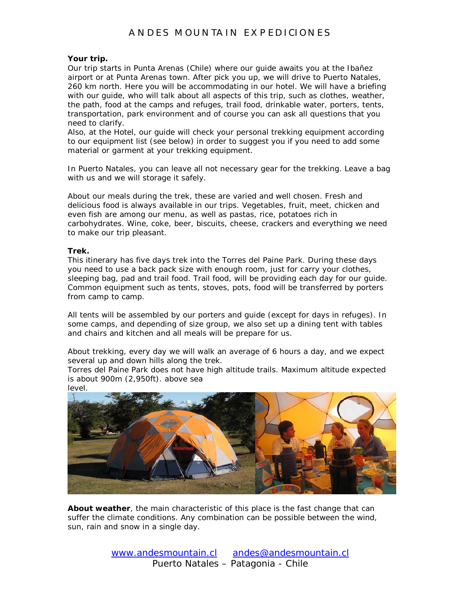#### **Your trip.**

Our trip starts in Punta Arenas (Chile) where our guide awaits you at the Ibañez airport or at Punta Arenas town. After pick you up, we will drive to Puerto Natales, 260 km north. Here you will be accommodating in our hotel. We will have a briefing with our guide, who will talk about all aspects of this trip, such as clothes, weather, the path, food at the camps and refuges, trail food, drinkable water, porters, tents, transportation, park environment and of course you can ask all questions that you need to clarify.

Also, at the Hotel, our guide will check your personal trekking equipment according to our equipment list (see below) in order to suggest you if you need to add some material or garment at your trekking equipment.

In Puerto Natales, you can leave all not necessary gear for the trekking. Leave a bag with us and we will storage it safely.

About our meals during the trek, these are varied and well chosen. Fresh and delicious food is always available in our trips. Vegetables, fruit, meet, chicken and even fish are among our menu, as well as pastas, rice, potatoes rich in carbohydrates. Wine, coke, beer, biscuits, cheese, crackers and everything we need to make our trip pleasant.

#### **Trek.**

This itinerary has five days trek into the Torres del Paine Park. During these days you need to use a back pack size with enough room, just for carry your clothes, sleeping bag, pad and trail food. Trail food, will be providing each day for our guide. Common equipment such as tents, stoves, pots, food will be transferred by porters from camp to camp.

All tents will be assembled by our porters and guide (except for days in refuges). In some camps, and depending of size group, we also set up a dining tent with tables and chairs and kitchen and all meals will be prepare for us.

About trekking, every day we will walk an average of 6 hours a day, and we expect several up and down hills along the trek.

Torres del Paine Park does not have high altitude trails. Maximum altitude expected is about 900m (2,950ft). above sea



*About weather*, the main characteristic of this place is the fast change that can suffer the climate conditions. Any combination can be possible between the wind, sun, rain and snow in a single day.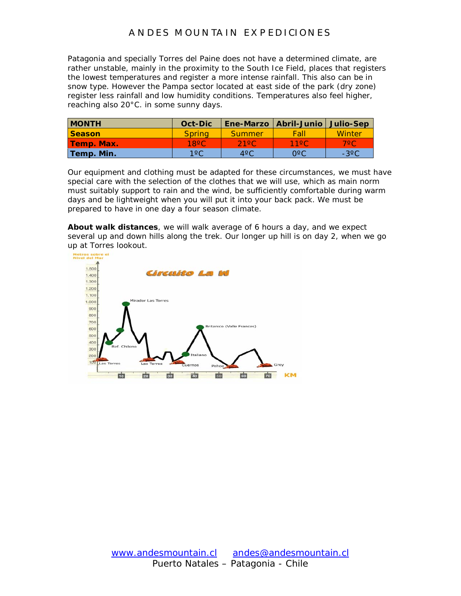Patagonia and specially Torres del Paine does not have a determined climate, are rather unstable, mainly in the proximity to the South Ice Field, places that registers the lowest temperatures and register a more intense rainfall. This also can be in snow type. However the Pampa sector located at east side of the park (dry zone) register less rainfall and low humidity conditions. Temperatures also feel higher, reaching also 20°C. in some sunny days.

| <b>MONTH</b>  | Oct-Dic        |               | Ene-Marzo   Abril-Junio   Julio-Sep |          |
|---------------|----------------|---------------|-------------------------------------|----------|
| <b>Season</b> | <b>Spring</b>  | Summer        | Fall                                | Winter   |
| Temp. Max.    | $18^{\circ}$ C | 21°C          | <b>1190</b>                         | 7°C      |
| Temp. Min.    | $1^{\circ}$ C  | $4^{\circ}$ C | n°C.                                | $-3$ °C. |

Our equipment and clothing must be adapted for these circumstances, we must have special care with the selection of the clothes that we will use, which as main norm must suitably support to rain and the wind, be sufficiently comfortable during warm days and be lightweight when you will put it into your back pack. We must be prepared to have in one day a four season climate.

*About walk distances*, we will walk average of 6 hours a day, and we expect several up and down hills along the trek. Our longer up hill is on day 2, when we go up at Torres lookout.

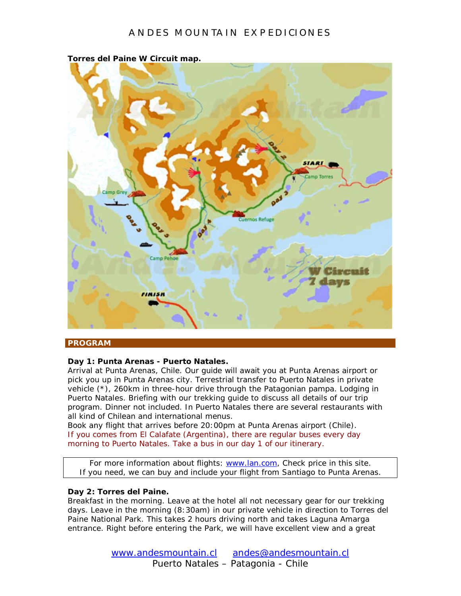

**Torres del Paine W Circuit map.**

#### **PROGRAM**

#### **Day 1: Punta Arenas - Puerto Natales.**

Arrival at Punta Arenas, Chile. Our guide will await you at Punta Arenas airport or pick you up in Punta Arenas city. Terrestrial transfer to Puerto Natales in private vehicle (\*), 260km in three-hour drive through the Patagonian pampa. Lodging in Puerto Natales. Briefing with our trekking guide to discuss all details of our trip program. Dinner not included. In Puerto Natales there are several restaurants with all kind of Chilean and international menus.

Book any flight that arrives before 20:00pm at Punta Arenas airport (Chile). If you comes from El Calafate (Argentina), there are regular buses every day morning to Puerto Natales. Take a bus in our day 1 of our itinerary.

For more information about flights: [www.lan.com,](http://www.lan.com/) Check price in this site. If you need, we can buy and include your flight from Santiago to Punta Arenas.

#### **Day 2: Torres del Paine.**

Breakfast in the morning. Leave at the hotel all not necessary gear for our trekking days. Leave in the morning (8:30am) in our private vehicle in direction to Torres del Paine National Park. This takes 2 hours driving north and takes Laguna Amarga entrance. Right before entering the Park, we will have excellent view and a great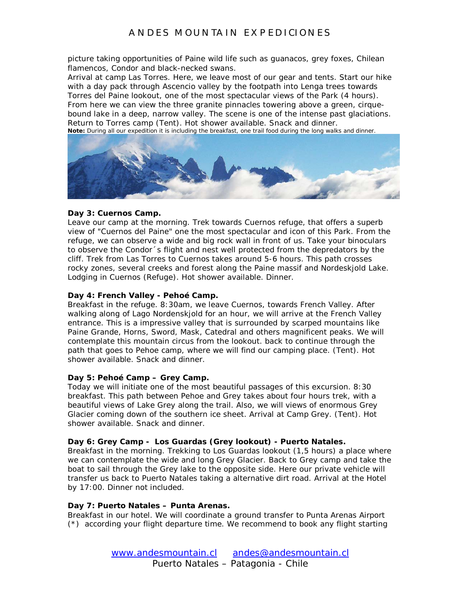picture taking opportunities of Paine wild life such as guanacos, grey foxes, Chilean flamencos, Condor and black-necked swans.

Arrival at camp Las Torres. Here, we leave most of our gear and tents. Start our hike with a day pack through Ascencio valley by the footpath into Lenga trees towards Torres del Paine lookout, one of the most spectacular views of the Park (4 hours). From here we can view the three granite pinnacles towering above a green, cirquebound lake in a deep, narrow valley. The scene is one of the intense past glaciations. Return to Torres camp (Tent). Hot shower available. Snack and dinner. **Note:** During all our expedition it is including the breakfast, one trail food during the long walks and dinner.



#### **Day 3: Cuernos Camp.**

Leave our camp at the morning. Trek towards Cuernos refuge, that offers a superb view of "Cuernos del Paine" one the most spectacular and icon of this Park. From the refuge, we can observe a wide and big rock wall in front of us. Take your binoculars to observe the Condor´s flight and nest well protected from the depredators by the cliff. Trek from Las Torres to Cuernos takes around 5-6 hours. This path crosses rocky zones, several creeks and forest along the Paine massif and Nordeskjold Lake. Lodging in Cuernos (Refuge). Hot shower available. Dinner.

#### **Day 4: French Valley - Pehoé Camp.**

Breakfast in the refuge. 8:30am, we leave Cuernos, towards French Valley. After walking along of Lago Nordenskjold for an hour, we will arrive at the French Valley entrance. This is a impressive valley that is surrounded by scarped mountains like Paine Grande, Horns, Sword, Mask, Catedral and others magnificent peaks. We will contemplate this mountain circus from the lookout. back to continue through the path that goes to Pehoe camp, where we will find our camping place. (Tent). Hot shower available. Snack and dinner.

#### **Day 5: Pehoé Camp – Grey Camp.**

Today we will initiate one of the most beautiful passages of this excursion. 8:30 breakfast. This path between Pehoe and Grey takes about four hours trek, with a beautiful views of Lake Grey along the trail. Also, we will views of enormous Grey Glacier coming down of the southern ice sheet. Arrival at Camp Grey. (Tent). Hot shower available. Snack and dinner.

#### **Day 6: Grey Camp - Los Guardas (Grey lookout) - Puerto Natales.**

Breakfast in the morning. Trekking to Los Guardas lookout (1,5 hours) a place where we can contemplate the wide and long Grey Glacier. Back to Grey camp and take the boat to sail through the Grey lake to the opposite side. Here our private vehicle will transfer us back to Puerto Natales taking a alternative dirt road. Arrival at the Hotel by 17:00. Dinner not included.

#### **Day 7: Puerto Natales – Punta Arenas.**

Breakfast in our hotel. We will coordinate a ground transfer to Punta Arenas Airport (\*) according your flight departure time. We recommend to book any flight starting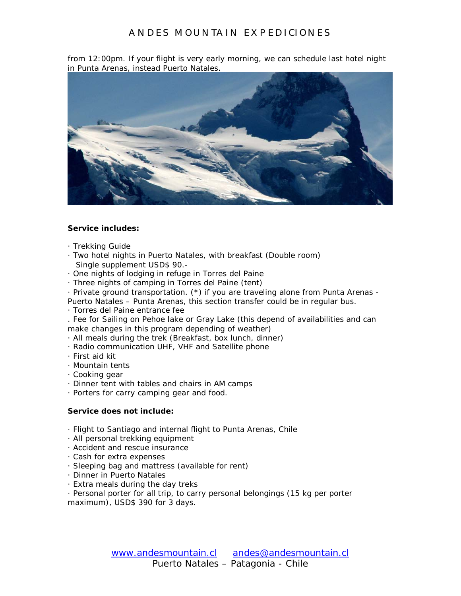from 12:00pm. If your flight is very early morning, we can schedule last hotel night in Punta Arenas, instead Puerto Natales.



#### **Service includes:**

- · Trekking Guide
- · Two hotel nights in Puerto Natales, with breakfast (Double room) Single supplement USD\$ 90.-
- · One nights of lodging in refuge in Torres del Paine
- · Three nights of camping in Torres del Paine (tent)
- · Private ground transportation. (\*) if you are traveling alone from Punta Arenas -
- Puerto Natales Punta Arenas, this section transfer could be in regular bus.
- · Torres del Paine entrance fee

. Fee for Sailing on Pehoe lake or Gray Lake (this depend of availabilities and can make changes in this program depending of weather)

- · All meals during the trek (Breakfast, box lunch, dinner)
- · Radio communication UHF, VHF and Satellite phone
- · First aid kit
- · Mountain tents
- · Cooking gear
- · Dinner tent with tables and chairs in AM camps
- · Porters for carry camping gear and food.

#### **Service does not include:**

- · Flight to Santiago and internal flight to Punta Arenas, Chile
- · All personal trekking equipment
- · Accident and rescue insurance
- · Cash for extra expenses
- · Sleeping bag and mattress (available for rent)
- · Dinner in Puerto Natales
- · Extra meals during the day treks
- · Personal porter for all trip, to carry personal belongings (15 kg per porter maximum), USD\$ 390 for 3 days.